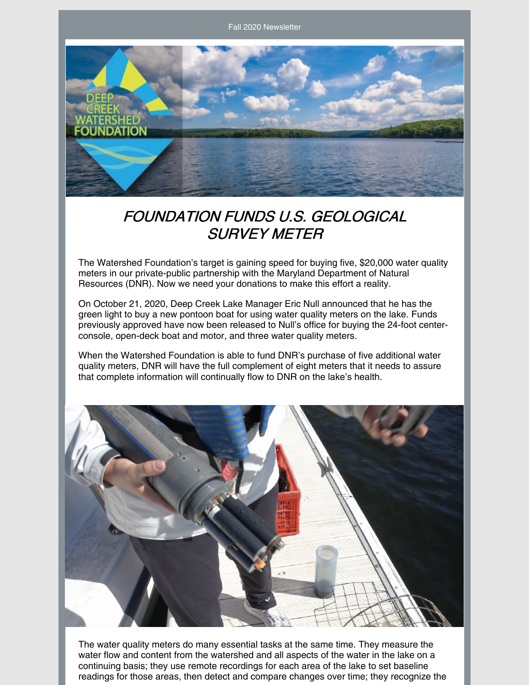Fall 2020 Newsletter



### FOUNDATION FUNDS U.S. GEOLOGICAL SURVEY METER

The Watershed Foundation's target is gaining speed for buying five, \$20,000 water quality meters in our private-public partnership with the Maryland Department of Natural Resources (DNR). Now we need your donations to make this effort a reality.

On October 21, 2020, Deep Creek Lake Manager Eric Null announced that he has the green light to buy a new pontoon boat for using water quality meters on the lake. Funds previously approved have now been released to Null's office for buying the 24-foot centerconsole, open-deck boat and motor, and three water quality meters.

When the Watershed Foundation is able to fund DNR's purchase of five additional water quality meters, DNR will have the full complement of eight meters that it needs to assure that complete information will continually flow to DNR on the lake's health.



The water quality meters do many essential tasks at the same time. They measure the water flow and content from the watershed and all aspects of the water in the lake on a continuing basis; they use remote recordings for each area of the lake to set baseline readings for those areas, then detect and compare changes over time; they recognize the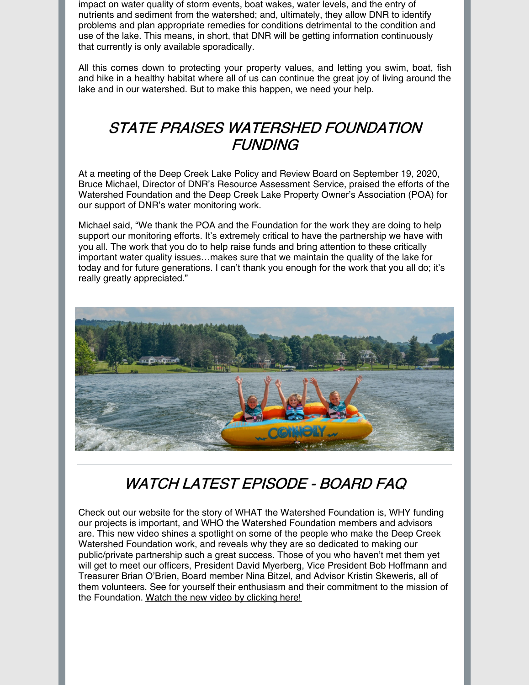impact on water quality of storm events, boat wakes, water levels, and the entry of nutrients and sediment from the watershed; and, ultimately, they allow DNR to identify problems and plan appropriate remedies for conditions detrimental to the condition and use of the lake. This means, in short, that DNR will be getting information continuously that currently is only available sporadically.

All this comes down to protecting your property values, and letting you swim, boat, fish and hike in a healthy habitat where all of us can continue the great joy of living around the lake and in our watershed. But to make this happen, we need your help.

### STATE PRAISES WATERSHED FOUNDATION **FUNDING**

At a meeting of the Deep Creek Lake Policy and Review Board on September 19, 2020, Bruce Michael, Director of DNR's Resource Assessment Service, praised the efforts of the Watershed Foundation and the Deep Creek Lake Property Owner's Association (POA) for our support of DNR's water monitoring work.

Michael said, "We thank the POA and the Foundation for the work they are doing to help support our monitoring efforts. It's extremely critical to have the partnership we have with you all. The work that you do to help raise funds and bring attention to these critically important water quality issues…makes sure that we maintain the quality of the lake for today and for future generations. I can't thank you enough for the work that you all do; it's really greatly appreciated."



## WATCH LATEST EPISODE - BOARD FAQ

Check out our website for the story of WHAT the Watershed Foundation is, WHY funding our projects is important, and WHO the Watershed Foundation members and advisors are. This new video shines a spotlight on some of the people who make the Deep Creek Watershed Foundation work, and reveals why they are so dedicated to making our public/private partnership such a great success. Those of you who haven't met them yet will get to meet our officers, President David Myerberg, Vice President Bob Hoffmann and Treasurer Brian O'Brien, Board member Nina Bitzel, and Advisor Kristin Skeweris, all of them volunteers. See for yourself their enthusiasm and their commitment to the mission of the Foundation. Watch the new video by [clicking](https://www.deepcreekwatershedfoundation.org/post/watch-episode-3-meet-the-board) here!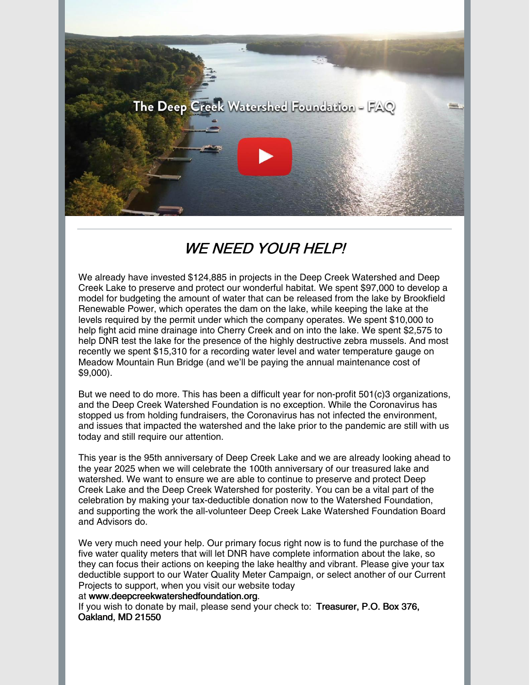

# WE NEED YOUR HELP!

We already have invested \$124,885 in projects in the Deep Creek Watershed and Deep Creek Lake to preserve and protect our wonderful habitat. We spent \$97,000 to develop a model for budgeting the amount of water that can be released from the lake by Brookfield Renewable Power, which operates the dam on the lake, while keeping the lake at the levels required by the permit under which the company operates. We spent \$10,000 to help fight acid mine drainage into Cherry Creek and on into the lake. We spent \$2,575 to help DNR test the lake for the presence of the highly destructive zebra mussels. And most recently we spent \$15,310 for a recording water level and water temperature gauge on Meadow Mountain Run Bridge (and we'll be paying the annual maintenance cost of \$9,000).

But we need to do more. This has been a difficult year for non-profit 501(c)3 organizations, and the Deep Creek Watershed Foundation is no exception. While the Coronavirus has stopped us from holding fundraisers, the Coronavirus has not infected the environment, and issues that impacted the watershed and the lake prior to the pandemic are still with us today and still require our attention.

This year is the 95th anniversary of Deep Creek Lake and we are already looking ahead to the year 2025 when we will celebrate the 100th anniversary of our treasured lake and watershed. We want to ensure we are able to continue to preserve and protect Deep Creek Lake and the Deep Creek Watershed for posterity. You can be a vital part of the celebration by making your tax-deductible donation now to the Watershed Foundation, and supporting the work the all-volunteer Deep Creek Lake Watershed Foundation Board and Advisors do.

We very much need your help. Our primary focus right now is to fund the purchase of the five water quality meters that will let DNR have complete information about the lake, so they can focus their actions on keeping the lake healthy and vibrant. Please give your tax deductible support to our Water Quality Meter Campaign, or select another of our Current Projects to support, when you visit our website today

#### at [www.deepcreekwatershedfoundation.org](http://www.deepcreekwatershedfoundation.org/).

If you wish to donate by mail, please send your check to: Treasurer, P.O. Box 376, Oakland, MD 21550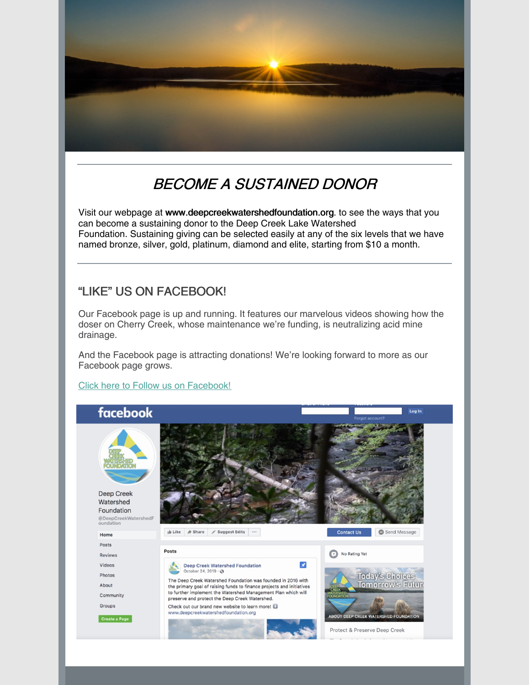

# BECOME A SUSTAINED DONOR

Visit our webpage at [www.deepcreekwatershedfoundation.org](http://www.deepcreekwatershedfoundation.org/). to see the ways that you can become a sustaining donor to the Deep Creek Lake Watershed Foundation. Sustaining giving can be selected easily at any of the six levels that we have named bronze, silver, gold, platinum, diamond and elite, starting from \$10 a month.

### "LIKE" US ON FACEBOOK!

Our Facebook page is up and running. It features our marvelous videos showing how the doser on Cherry Creek, whose maintenance we're funding, is neutralizing acid mine drainage.

And the Facebook page is attracting donations! We're looking forward to more as our Facebook page grows.

Click here to Follow us on [Facebook!](https://www.facebook.com/DeepCreekWatershedFoundation/)